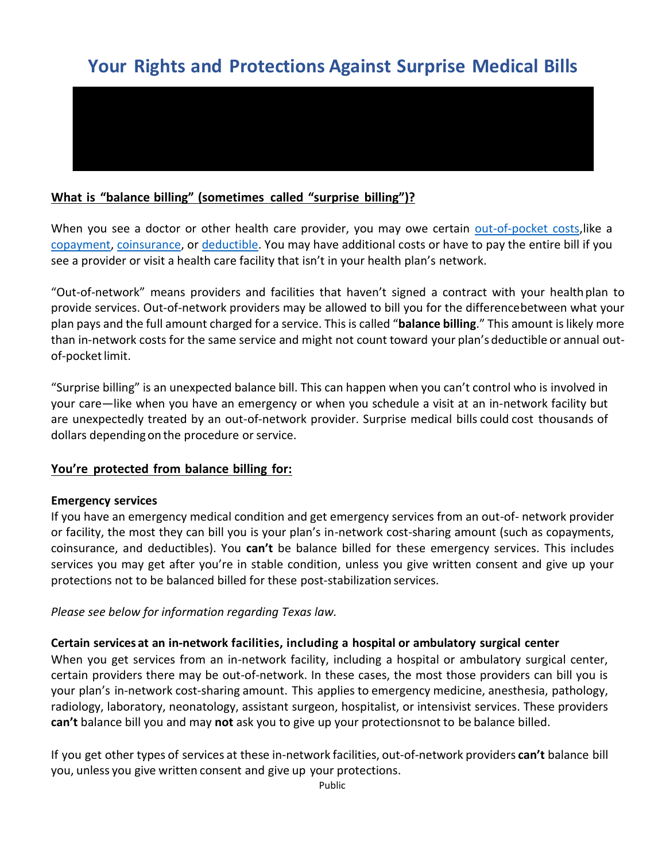# **Your Rights and Protections Against Surprise Medical Bills**

### **What is "balance billing" (sometimes called "surprise billing")?**

When you see a doctor or other health care provider, you may owe certain [out-of-pocket costs,](https://www.healthcare.gov/glossary/out-of-pocket-costs/)like a [copayment,](https://www.healthcare.gov/glossary/co-payment/) [coinsurance,](https://www.healthcare.gov/glossary/co-insurance/) or [deductible.](https://www.healthcare.gov/glossary/deductible/) You may have additional costs or have to pay the entire bill if you see a provider or visit a health care facility that isn't in your health plan's network.

"Out-of-network" means providers and facilities that haven't signed a contract with your healthplan to provide services. Out-of-network providers may be allowed to bill you for the differencebetween what your plan pays and the full amount charged for a service. This is called "**balance billing**." This amount is likely more than in-network costs for the same service and might not count toward your plan's deductible or annual outof-pocket limit.

"Surprise billing" is an unexpected balance bill. This can happen when you can't control who is involved in your care—like when you have an emergency or when you schedule a visit at an in-network facility but are unexpectedly treated by an out-of-network provider. Surprise medical bills could cost thousands of dollars depending on the procedure or service.

#### **You're protected from balance billing for:**

#### **Emergency services**

If you have an emergency medical condition and get emergency services from an out-of- network provider or facility, the most they can bill you is your plan's in-network cost-sharing amount (such as copayments, coinsurance, and deductibles). You **can't** be balance billed for these emergency services. This includes services you may get after you're in stable condition, unless you give written consent and give up your protections not to be balanced billed for these post-stabilization services.

*Please see below for information regarding Texas law.* 

#### **Certain services at an in-network facilities, including a hospital or ambulatory surgical center**

When you get services from an in-network facility, including a hospital or ambulatory surgical center, certain providers there may be out-of-network. In these cases, the most those providers can bill you is your plan's in-network cost-sharing amount. This applies to emergency medicine, anesthesia, pathology, radiology, laboratory, neonatology, assistant surgeon, hospitalist, or intensivist services. These providers **can't** balance bill you and may **not** ask you to give up your protectionsnot to be balance billed.

If you get other types of services at these in-network facilities, out-of-network providers **can't** balance bill you, unless you give written consent and give up your protections.